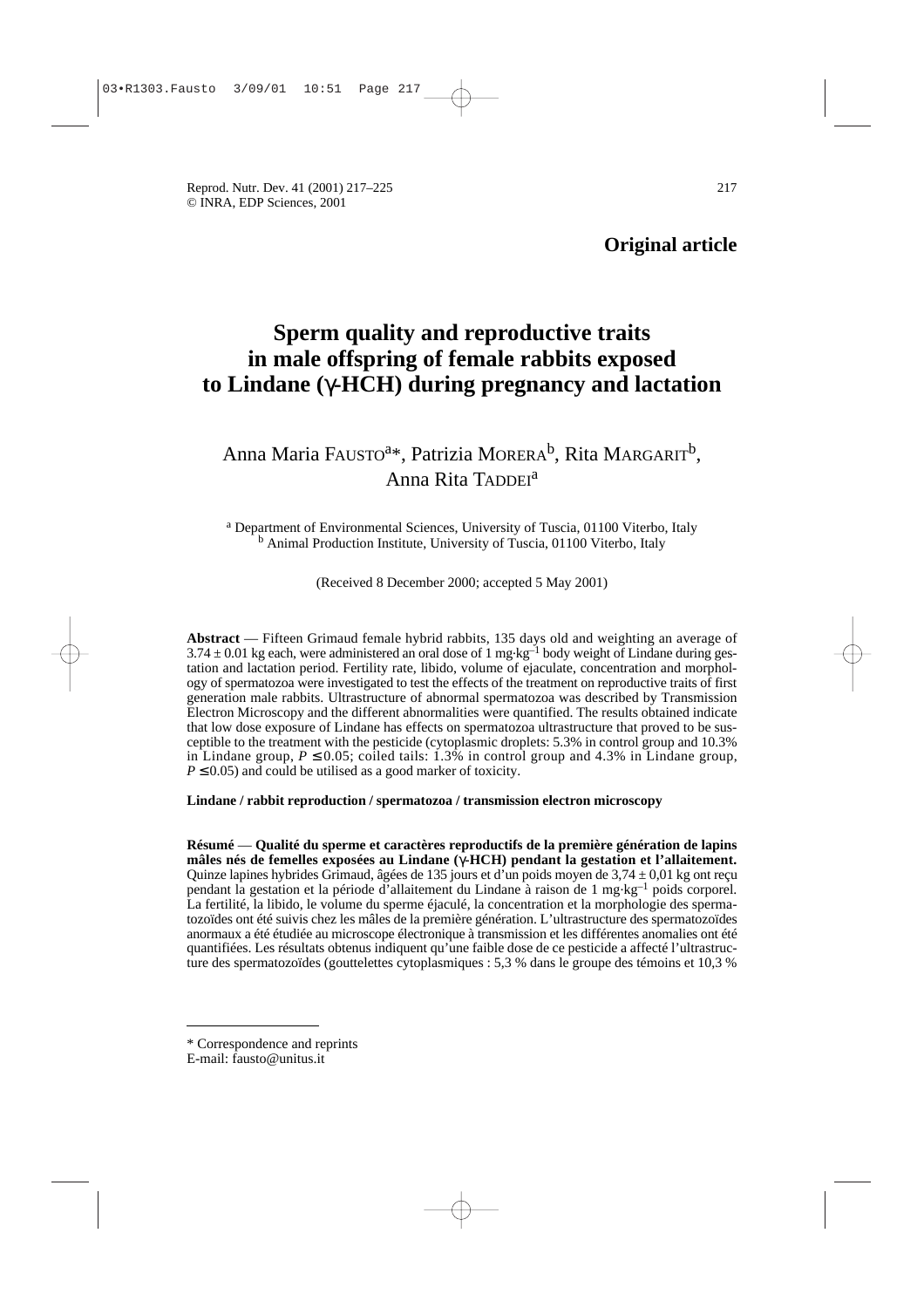Reprod. Nutr. Dev. 41 (2001) 217–225 217 © INRA, EDP Sciences, 2001

**Original article**

# **Sperm quality and reproductive traits in male offspring of female rabbits exposed to Lindane (**γ**-HCH) during pregnancy and lactation**

# Anna Maria FAUSTO<sup>a\*</sup>, Patrizia MORERA<sup>b</sup>, Rita MARGARIT<sup>b</sup>, Anna Rita TADDEI<sup>a</sup>

<sup>a</sup> Department of Environmental Sciences, University of Tuscia, 01100 Viterbo, Italy <sup>b</sup> Animal Production Institute, University of Tuscia, 01100 Viterbo, Italy

(Received 8 December 2000; accepted 5 May 2001)

**Abstract** — Fifteen Grimaud female hybrid rabbits, 135 days old and weighting an average of  $3.74 \pm 0.01$  kg each, were administered an oral dose of 1 mg·kg<sup>-1</sup> body weight of Lindane during gestation and lactation period. Fertility rate, libido, volume of ejaculate, concentration and morphology of spermatozoa were investigated to test the effects of the treatment on reproductive traits of first generation male rabbits. Ultrastructure of abnormal spermatozoa was described by Transmission Electron Microscopy and the different abnormalities were quantified. The results obtained indicate that low dose exposure of Lindane has effects on spermatozoa ultrastructure that proved to be susceptible to the treatment with the pesticide (cytoplasmic droplets: 5.3% in control group and 10.3% in Lindane group,  $P \le 0.05$ ; coiled tails: 1.3% in control group and 4.3% in Lindane group,  $P \leq 0.05$ ) and could be utilised as a good marker of toxicity.

## **Lindane / rabbit reproduction / spermatozoa / transmission electron microscopy**

**Résumé** — **Qualité du sperme et caractères reproductifs de la première génération de lapins mâles nés de femelles exposées au Lindane (**γ**-HCH) pendant la gestation et l'allaitement.** Quinze lapines hybrides Grimaud, âgées de 135 jours et d'un poids moyen de  $3.74 \pm 0.01$  kg ont reçu pendant la gestation et la période d'allaitement du Lindane à raison de 1 mg.kg–1 poids corporel. La fertilité, la libido, le volume du sperme éjaculé, la concentration et la morphologie des spermatozoïdes ont été suivis chez les mâles de la première génération. L'ultrastructure des spermatozoïdes anormaux a été étudiée au microscope électronique à transmission et les différentes anomalies ont été quantifiées. Les résultats obtenus indiquent qu'une faible dose de ce pesticide a affecté l'ultrastructure des spermatozoïdes (gouttelettes cytoplasmiques : 5,3 % dans le groupe des témoins et 10,3 %

\* Correspondence and reprints

E-mail: fausto@unitus.it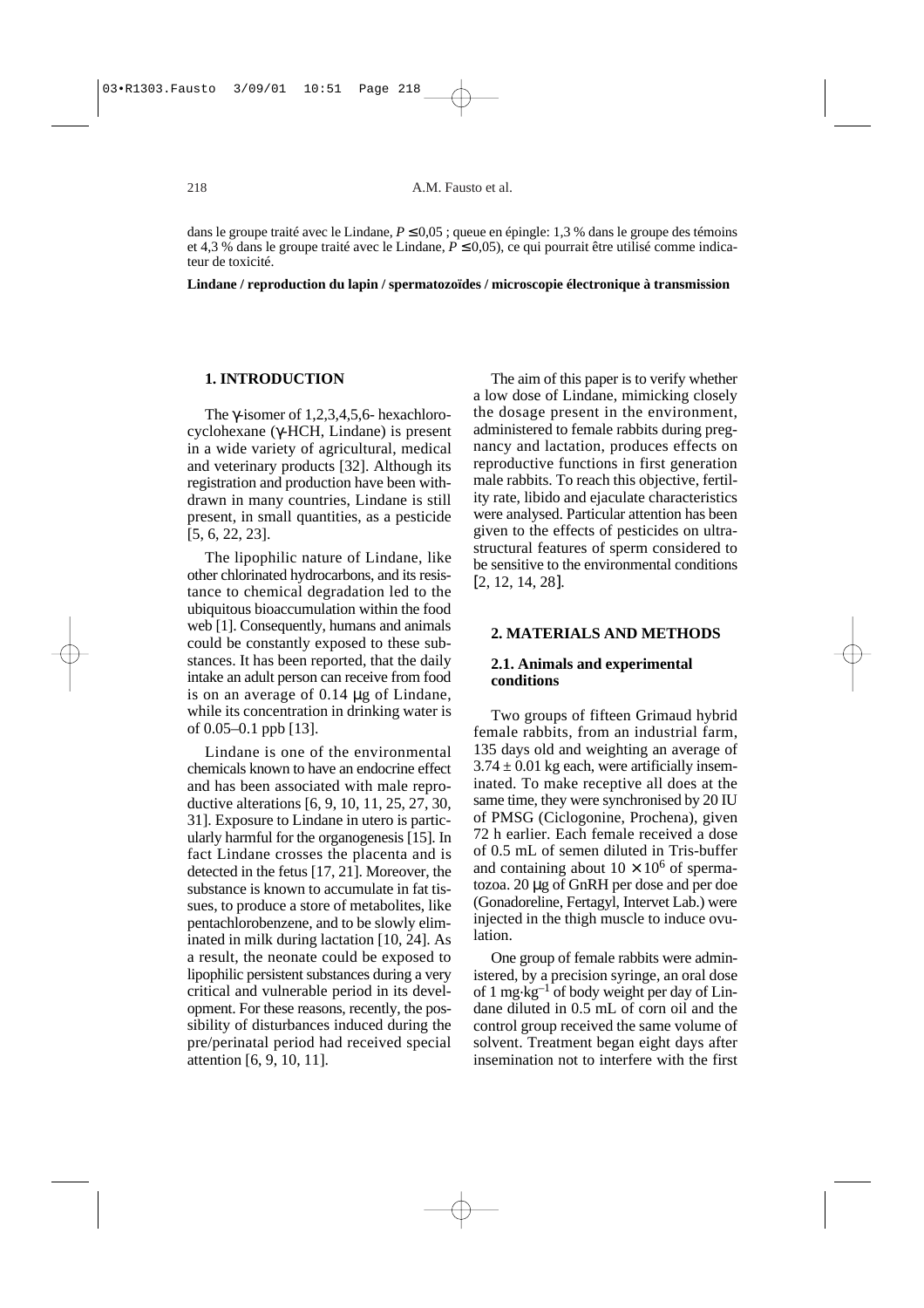dans le groupe traité avec le Lindane, *P* ≤ 0,05 ; queue en épingle: 1,3 % dans le groupe des témoins et 4,3 % dans le groupe traité avec le Lindane, *P* ≤ 0,05), ce qui pourrait être utilisé comme indicateur de toxicité.

**Lindane / reproduction du lapin / spermatozoïdes / microscopie électronique à transmission** 

## **1. INTRODUCTION**

The γ-isomer of 1,2,3,4,5,6- hexachlorocyclohexane (γ-HCH, Lindane) is present in a wide variety of agricultural, medical and veterinary products [32]. Although its registration and production have been withdrawn in many countries, Lindane is still present, in small quantities, as a pesticide [5, 6, 22, 23].

The lipophilic nature of Lindane, like other chlorinated hydrocarbons, and its resistance to chemical degradation led to the ubiquitous bioaccumulation within the food web [1]. Consequently, humans and animals could be constantly exposed to these substances. It has been reported, that the daily intake an adult person can receive from food is on an average of 0.14 µg of Lindane, while its concentration in drinking water is of 0.05–0.1 ppb [13].

Lindane is one of the environmental chemicals known to have an endocrine effect and has been associated with male reproductive alterations [6, 9, 10, 11, 25, 27, 30, 31]. Exposure to Lindane in utero is particularly harmful for the organogenesis [15]. In fact Lindane crosses the placenta and is detected in the fetus [17, 21]. Moreover, the substance is known to accumulate in fat tissues, to produce a store of metabolites, like pentachlorobenzene, and to be slowly eliminated in milk during lactation [10, 24]. As a result, the neonate could be exposed to lipophilic persistent substances during a very critical and vulnerable period in its development. For these reasons, recently, the possibility of disturbances induced during the pre/perinatal period had received special attention [6, 9, 10, 11].

The aim of this paper is to verify whether a low dose of Lindane, mimicking closely the dosage present in the environment, administered to female rabbits during pregnancy and lactation, produces effects on reproductive functions in first generation male rabbits. To reach this objective, fertility rate, libido and ejaculate characteristics were analysed. Particular attention has been given to the effects of pesticides on ultrastructural features of sperm considered to be sensitive to the environmental conditions [2, 12, 14, 28].

## **2. MATERIALS AND METHODS**

## **2.1. Animals and experimental conditions**

Two groups of fifteen Grimaud hybrid female rabbits, from an industrial farm, 135 days old and weighting an average of  $3.74 \pm 0.01$  kg each, were artificially inseminated. To make receptive all does at the same time, they were synchronised by 20 IU of PMSG (Ciclogonine, Prochena), given 72 h earlier. Each female received a dose of 0.5 mL of semen diluted in Tris-buffer and containing about  $10 \times 10^6$  of spermatozoa. 20 µg of GnRH per dose and per doe (Gonadoreline, Fertagyl, Intervet Lab.) were injected in the thigh muscle to induce ovulation.

One group of female rabbits were administered, by a precision syringe, an oral dose of 1 mg.kg–1 of body weight per day of Lindane diluted in 0.5 mL of corn oil and the control group received the same volume of solvent. Treatment began eight days after insemination not to interfere with the first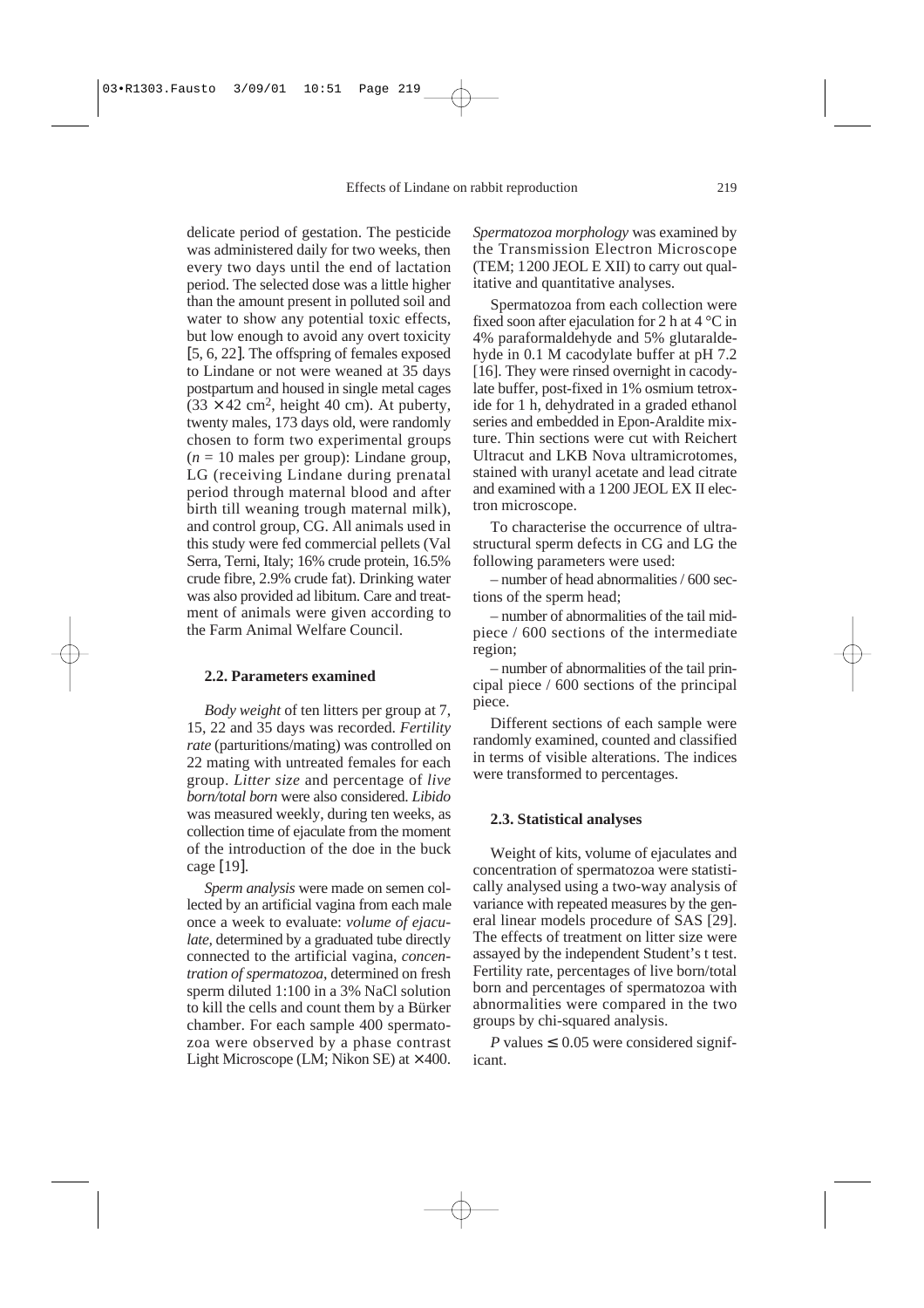delicate period of gestation. The pesticide was administered daily for two weeks, then every two days until the end of lactation period. The selected dose was a little higher than the amount present in polluted soil and water to show any potential toxic effects, but low enough to avoid any overt toxicity [5, 6, 22]. The offspring of females exposed to Lindane or not were weaned at 35 days postpartum and housed in single metal cages  $(33 \times 42 \text{ cm}^2, \text{ height } 40 \text{ cm})$ . At puberty, twenty males, 173 days old, were randomly chosen to form two experimental groups  $(n = 10$  males per group): Lindane group, LG (receiving Lindane during prenatal period through maternal blood and after birth till weaning trough maternal milk), and control group, CG. All animals used in this study were fed commercial pellets (Val Serra, Terni, Italy; 16% crude protein, 16.5% crude fibre, 2.9% crude fat). Drinking water was also provided ad libitum. Care and treatment of animals were given according to the Farm Animal Welfare Council.

## **2.2. Parameters examined**

*Body weight* of ten litters per group at 7, 15, 22 and 35 days was recorded. *Fertility rate* (parturitions/mating) was controlled on 22 mating with untreated females for each group. *Litter size* and percentage of *live born/total born* were also considered. *Libido* was measured weekly, during ten weeks, as collection time of ejaculate from the moment of the introduction of the doe in the buck cage [19].

*Sperm analysis* were made on semen collected by an artificial vagina from each male once a week to evaluate: *volume of ejaculate,* determined by a graduated tube directly connected to the artificial vagina, *concentration of spermatozoa*, determined on fresh sperm diluted 1:100 in a 3% NaCl solution to kill the cells and count them by a Bürker chamber. For each sample 400 spermatozoa were observed by a phase contrast Light Microscope (LM; Nikon SE) at  $\times$  400.

*Spermatozoa morphology* was examined by the Transmission Electron Microscope (TEM; 1200 JEOL E XII) to carry out qualitative and quantitative analyses.

Spermatozoa from each collection were fixed soon after ejaculation for 2 h at 4 °C in 4% paraformaldehyde and 5% glutaraldehyde in 0.1 M cacodylate buffer at pH 7.2 [16]. They were rinsed overnight in cacodylate buffer, post-fixed in 1% osmium tetroxide for 1 h, dehydrated in a graded ethanol series and embedded in Epon-Araldite mixture. Thin sections were cut with Reichert Ultracut and LKB Nova ultramicrotomes, stained with uranyl acetate and lead citrate and examined with a 1200 JEOL EX II electron microscope.

To characterise the occurrence of ultrastructural sperm defects in CG and LG the following parameters were used:

– number of head abnormalities / 600 sections of the sperm head;

– number of abnormalities of the tail midpiece / 600 sections of the intermediate region;

– number of abnormalities of the tail principal piece / 600 sections of the principal piece.

Different sections of each sample were randomly examined, counted and classified in terms of visible alterations. The indices were transformed to percentages.

#### **2.3. Statistical analyses**

Weight of kits, volume of ejaculates and concentration of spermatozoa were statistically analysed using a two-way analysis of variance with repeated measures by the general linear models procedure of SAS [29]. The effects of treatment on litter size were assayed by the independent Student's t test. Fertility rate, percentages of live born/total born and percentages of spermatozoa with abnormalities were compared in the two groups by chi-squared analysis.

*P* values  $\leq$  0.05 were considered significant.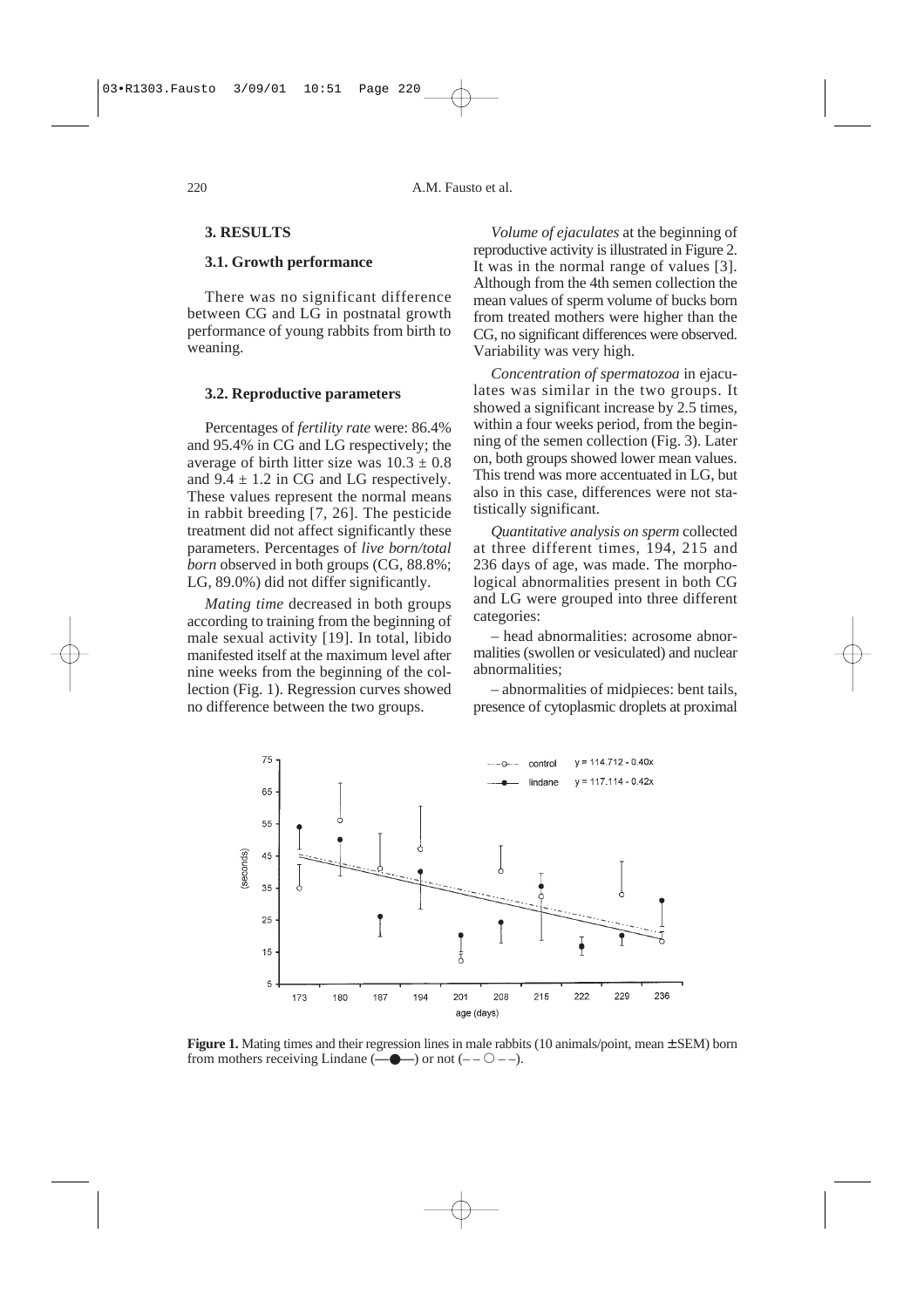# **3. RESULTS**

## **3.1. Growth performance**

There was no significant difference between CG and LG in postnatal growth performance of young rabbits from birth to weaning.

### **3.2. Reproductive parameters**

Percentages of *fertility rate* were: 86.4% and 95.4% in CG and LG respectively; the average of birth litter size was  $10.3 \pm 0.8$ and  $9.4 \pm 1.2$  in CG and LG respectively. These values represent the normal means in rabbit breeding [7, 26]. The pesticide treatment did not affect significantly these parameters. Percentages of *live born/total born* observed in both groups (CG, 88.8%; LG, 89.0%) did not differ significantly.

*Mating time* decreased in both groups according to training from the beginning of male sexual activity [19]. In total, libido manifested itself at the maximum level after nine weeks from the beginning of the collection (Fig. 1). Regression curves showed no difference between the two groups.

*Volume of ejaculates* at the beginning of reproductive activity is illustrated in Figure 2. It was in the normal range of values [3]. Although from the 4th semen collection the mean values of sperm volume of bucks born from treated mothers were higher than the CG, no significant differences were observed. Variability was very high.

*Concentration of spermatozoa* in ejaculates was similar in the two groups. It showed a significant increase by 2.5 times, within a four weeks period, from the beginning of the semen collection (Fig. 3). Later on, both groups showed lower mean values. This trend was more accentuated in LG, but also in this case, differences were not statistically significant.

*Quantitative analysis on sperm* collected at three different times, 194, 215 and 236 days of age, was made. The morphological abnormalities present in both CG and LG were grouped into three different categories:

– head abnormalities: acrosome abnormalities (swollen or vesiculated) and nuclear abnormalities;

– abnormalities of midpieces: bent tails, presence of cytoplasmic droplets at proximal



**Figure 1.** Mating times and their regression lines in male rabbits (10 animals/point, mean  $\pm$  SEM) born from mothers receiving Lindane  $(\overline{\phantom{a}}\bullet\bullet\bullet)$  or not  $(-\overline{\phantom{a}}\circ\bullet\bullet)$ .

 $220$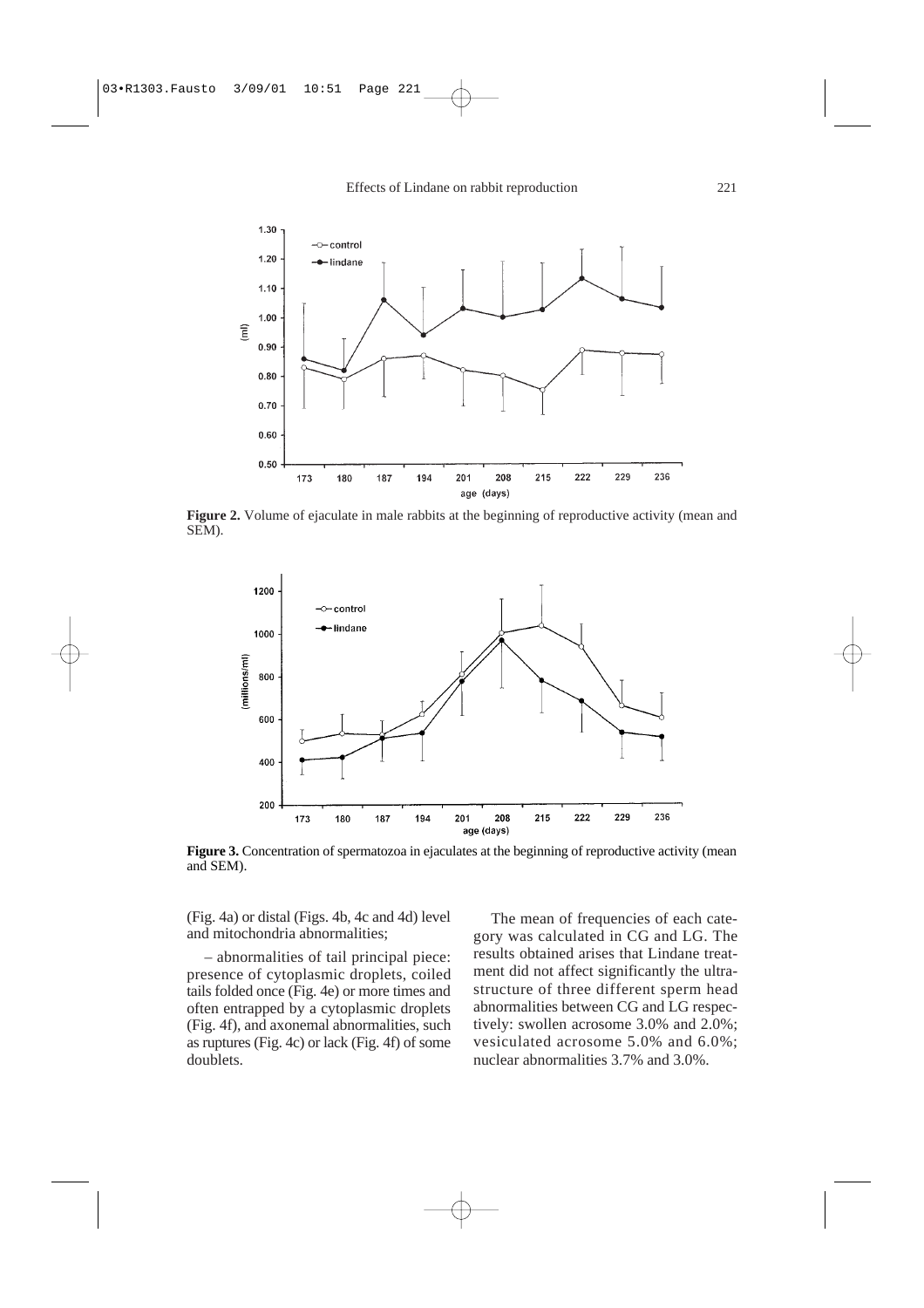Effects of Lindane on rabbit reproduction



**Figure 2.** Volume of ejaculate in male rabbits at the beginning of reproductive activity (mean and SEM).



Figure 3. Concentration of spermatozoa in ejaculates at the beginning of reproductive activity (mean and SEM).

(Fig. 4a) or distal (Figs. 4b, 4c and 4d) level and mitochondria abnormalities;

– abnormalities of tail principal piece: presence of cytoplasmic droplets, coiled tails folded once (Fig. 4e) or more times and often entrapped by a cytoplasmic droplets (Fig. 4f), and axonemal abnormalities, such as ruptures (Fig. 4c) or lack (Fig. 4f) of some doublets.

The mean of frequencies of each category was calculated in CG and LG. The results obtained arises that Lindane treatment did not affect significantly the ultrastructure of three different sperm head abnormalities between CG and LG respectively: swollen acrosome 3.0% and 2.0%; vesiculated acrosome 5.0% and 6.0%; nuclear abnormalities 3.7% and 3.0%.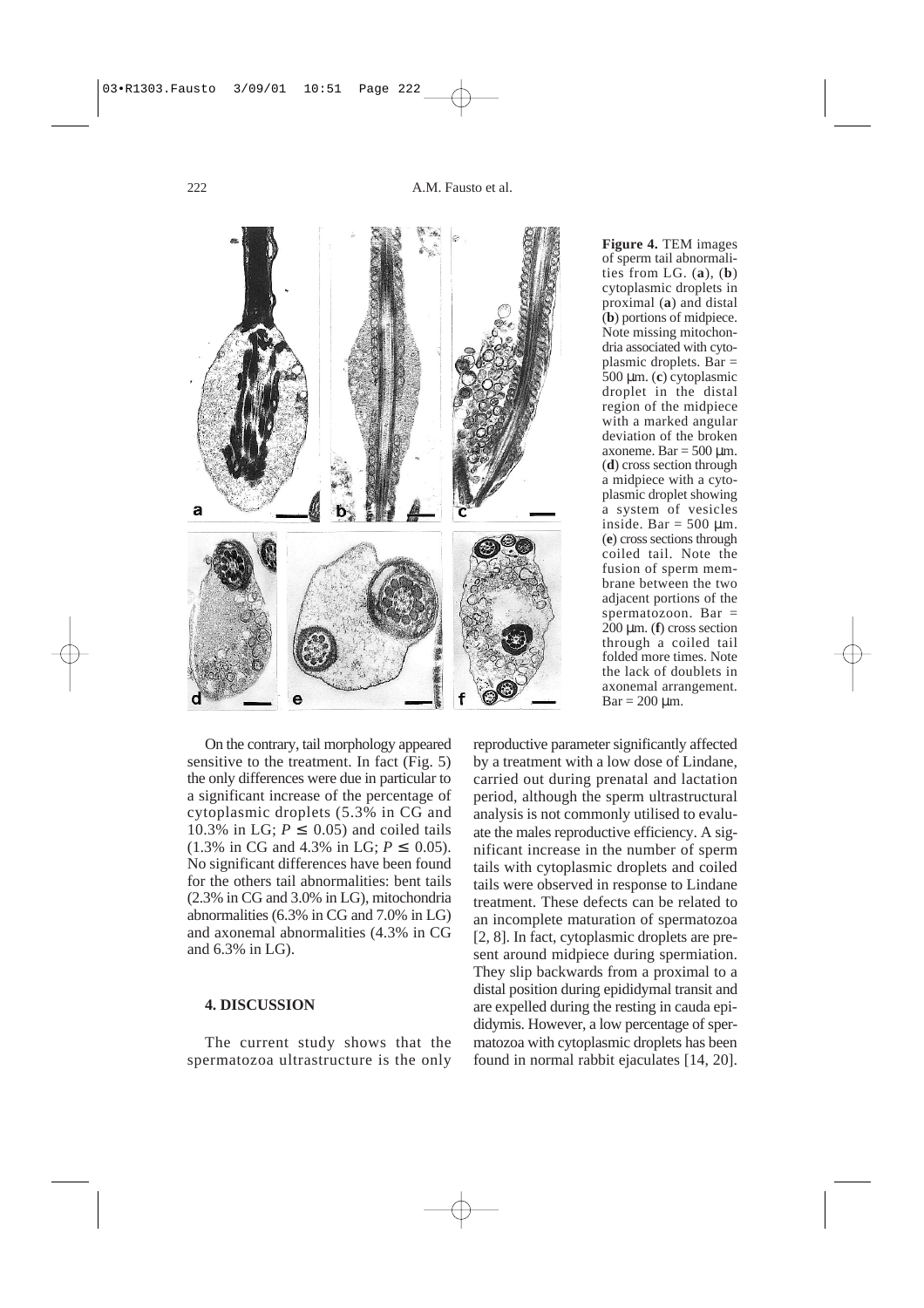



**Figure 4.** TEM images of sperm tail abnormalities from LG. (**a**), (**b**) cytoplasmic droplets in proximal (**a**) and distal (**b**) portions of midpiece. Note missing mitochondria associated with cytoplasmic droplets. Bar = 500 µm. (**c**) cytoplasmic droplet in the distal region of the midpiece with a marked angular deviation of the broken axoneme. Bar  $=$  500  $\mu$ m. (**d**) cross section through a midpiece with a cytoplasmic droplet showing a system of vesicles inside. Bar =  $500 \mu m$ . (**e**) cross sections through coiled tail. Note the fusion of sperm membrane between the two adjacent portions of the spermatozoon. Bar  $=$ 200 µm. (**f**) cross section through a coiled tail folded more times. Note the lack of doublets in axonemal arrangement.  $Bar = 200 \mu m$ .

On the contrary, tail morphology appeared sensitive to the treatment. In fact (Fig. 5) the only differences were due in particular to a significant increase of the percentage of cytoplasmic droplets (5.3% in CG and 10.3% in LG;  $P \le 0.05$ ) and coiled tails  $(1.3\% \text{ in CG and } 4.3\% \text{ in LG}; P \leq 0.05).$ No significant differences have been found for the others tail abnormalities: bent tails (2.3% in CG and 3.0% in LG), mitochondria abnormalities (6.3% in CG and 7.0% in LG) and axonemal abnormalities (4.3% in CG and 6.3% in LG).

## **4. DISCUSSION**

The current study shows that the spermatozoa ultrastructure is the only

reproductive parameter significantly affected by a treatment with a low dose of Lindane, carried out during prenatal and lactation period, although the sperm ultrastructural analysis is not commonly utilised to evaluate the males reproductive efficiency. A significant increase in the number of sperm tails with cytoplasmic droplets and coiled tails were observed in response to Lindane treatment. These defects can be related to an incomplete maturation of spermatozoa [2, 8]. In fact, cytoplasmic droplets are present around midpiece during spermiation. They slip backwards from a proximal to a distal position during epididymal transit and are expelled during the resting in cauda epididymis. However, a low percentage of spermatozoa with cytoplasmic droplets has been found in normal rabbit ejaculates [14, 20].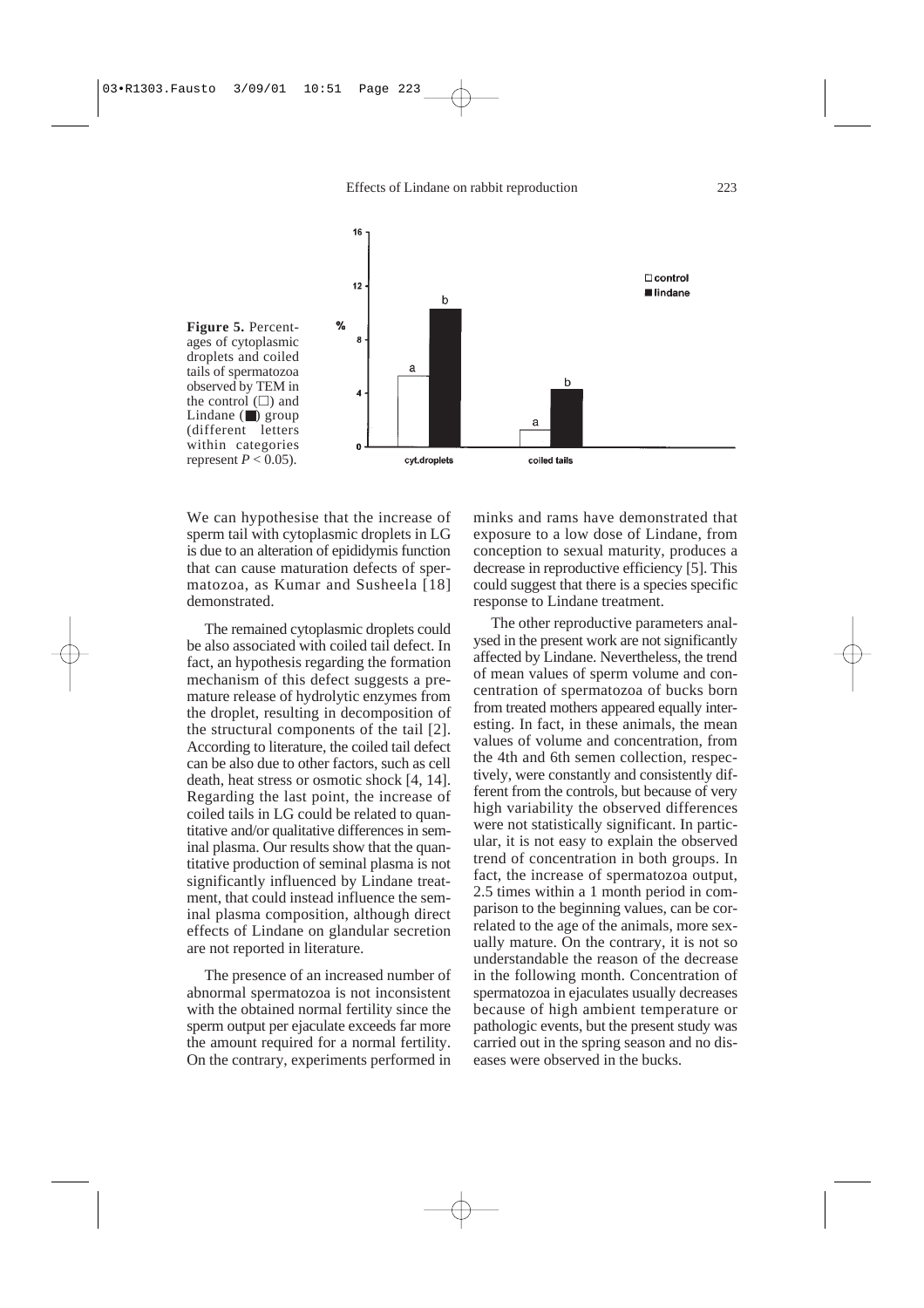Effects of Lindane on rabbit reproduction



We can hypothesise that the increase of sperm tail with cytoplasmic droplets in LG is due to an alteration of epididymis function that can cause maturation defects of spermatozoa, as Kumar and Susheela [18] demonstrated.

The remained cytoplasmic droplets could be also associated with coiled tail defect. In fact, an hypothesis regarding the formation mechanism of this defect suggests a premature release of hydrolytic enzymes from the droplet, resulting in decomposition of the structural components of the tail [2]. According to literature, the coiled tail defect can be also due to other factors, such as cell death, heat stress or osmotic shock [4, 14]. Regarding the last point, the increase of coiled tails in LG could be related to quantitative and/or qualitative differences in seminal plasma. Our results show that the quantitative production of seminal plasma is not significantly influenced by Lindane treatment, that could instead influence the seminal plasma composition, although direct effects of Lindane on glandular secretion are not reported in literature.

The presence of an increased number of abnormal spermatozoa is not inconsistent with the obtained normal fertility since the sperm output per ejaculate exceeds far more the amount required for a normal fertility. On the contrary, experiments performed in minks and rams have demonstrated that exposure to a low dose of Lindane, from conception to sexual maturity, produces a decrease in reproductive efficiency [5]. This could suggest that there is a species specific response to Lindane treatment.

The other reproductive parameters analysed in the present work are not significantly affected by Lindane. Nevertheless, the trend of mean values of sperm volume and concentration of spermatozoa of bucks born from treated mothers appeared equally interesting. In fact, in these animals, the mean values of volume and concentration, from the 4th and 6th semen collection, respectively, were constantly and consistently different from the controls, but because of very high variability the observed differences were not statistically significant. In particular, it is not easy to explain the observed trend of concentration in both groups. In fact, the increase of spermatozoa output, 2.5 times within a 1 month period in comparison to the beginning values, can be correlated to the age of the animals, more sexually mature. On the contrary, it is not so understandable the reason of the decrease in the following month. Concentration of spermatozoa in ejaculates usually decreases because of high ambient temperature or pathologic events, but the present study was carried out in the spring season and no diseases were observed in the bucks.

 $223$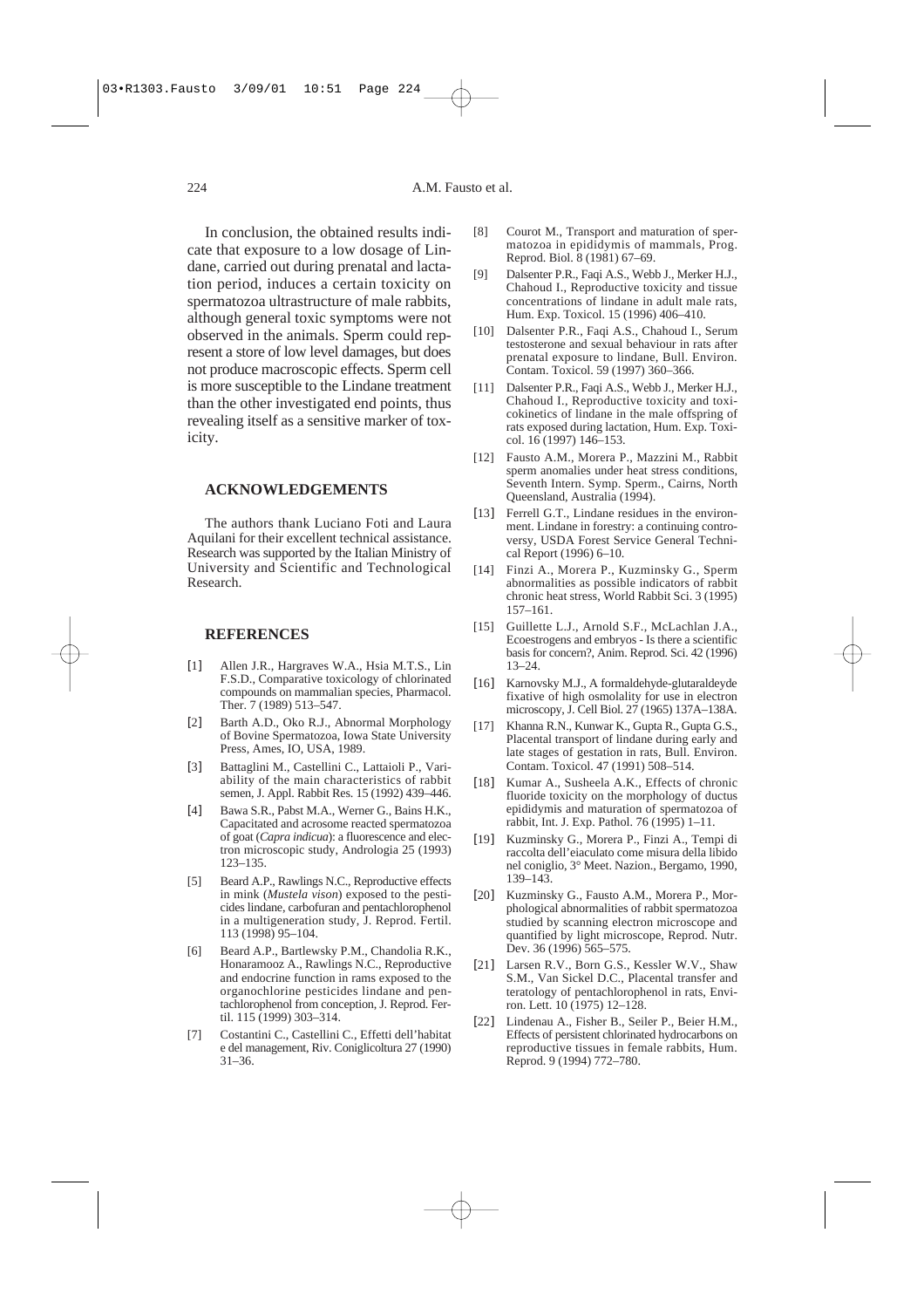In conclusion, the obtained results indicate that exposure to a low dosage of Lindane, carried out during prenatal and lactation period, induces a certain toxicity on spermatozoa ultrastructure of male rabbits, although general toxic symptoms were not observed in the animals. Sperm could represent a store of low level damages, but does not produce macroscopic effects. Sperm cell is more susceptible to the Lindane treatment than the other investigated end points, thus revealing itself as a sensitive marker of toxicity.

# **ACKNOWLEDGEMENTS**

The authors thank Luciano Foti and Laura Aquilani for their excellent technical assistance. Research was supported by the Italian Ministry of University and Scientific and Technological Research.

## **REFERENCES**

- [1] Allen J.R., Hargraves W.A., Hsia M.T.S., Lin F.S.D., Comparative toxicology of chlorinated compounds on mammalian species, Pharmacol. Ther. 7 (1989) 513–547.
- [2] Barth A.D., Oko R.J., Abnormal Morphology of Bovine Spermatozoa, Iowa State University Press, Ames, IO, USA, 1989.
- [3] Battaglini M., Castellini C., Lattaioli P., Variability of the main characteristics of rabbit semen, J. Appl. Rabbit Res. 15 (1992) 439–446.
- [4] Bawa S.R., Pabst M.A., Werner G., Bains H.K., Capacitated and acrosome reacted spermatozoa of goat (*Capra indicua*): a fluorescence and electron microscopic study, Andrologia 25 (1993) 123–135.
- [5] Beard A.P., Rawlings N.C., Reproductive effects in mink (*Mustela vison*) exposed to the pesticides lindane, carbofuran and pentachlorophenol in a multigeneration study, J. Reprod. Fertil. 113 (1998) 95–104.
- [6] Beard A.P., Bartlewsky P.M., Chandolia R.K., Honaramooz A., Rawlings N.C., Reproductive and endocrine function in rams exposed to the organochlorine pesticides lindane and pentachlorophenol from conception, J. Reprod. Fertil. 115 (1999) 303–314.
- [7] Costantini C., Castellini C., Effetti dell'habitat e del management, Riv. Coniglicoltura 27 (1990) 31–36.
- [8] Courot M., Transport and maturation of spermatozoa in epididymis of mammals, Prog. Reprod. Biol. 8 (1981) 67–69.
- [9] Dalsenter P.R., Faqi A.S., Webb J., Merker H.J., Chahoud I., Reproductive toxicity and tissue concentrations of lindane in adult male rats, Hum. Exp. Toxicol. 15 (1996) 406–410.
- [10] Dalsenter P.R., Faqi A.S., Chahoud I., Serum testosterone and sexual behaviour in rats after prenatal exposure to lindane, Bull. Environ. Contam. Toxicol. 59 (1997) 360–366.
- [11] Dalsenter P.R., Faqi A.S., Webb J., Merker H.J., Chahoud I., Reproductive toxicity and toxicokinetics of lindane in the male offspring of rats exposed during lactation, Hum. Exp. Toxicol. 16 (1997) 146–153.
- [12] Fausto A.M., Morera P., Mazzini M., Rabbit sperm anomalies under heat stress conditions, Seventh Intern. Symp. Sperm., Cairns, North Queensland, Australia (1994).
- [13] Ferrell G.T., Lindane residues in the environment. Lindane in forestry: a continuing controversy, USDA Forest Service General Technical Report (1996) 6–10.
- [14] Finzi A., Morera P., Kuzminsky G., Sperm abnormalities as possible indicators of rabbit chronic heat stress, World Rabbit Sci. 3 (1995) 157–161.
- [15] Guillette L.J., Arnold S.F., McLachlan J.A., Ecoestrogens and embryos - Is there a scientific basis for concern?, Anim. Reprod. Sci. 42 (1996) 13–24.
- [16] Karnovsky M.J., A formaldehyde-glutaraldeyde fixative of high osmolality for use in electron microscopy, J. Cell Biol. 27 (1965) 137A–138A.
- Khanna R.N., Kunwar K., Gupta R., Gupta G.S., Placental transport of lindane during early and late stages of gestation in rats, Bull. Environ. Contam. Toxicol. 47 (1991) 508–514.
- [18] Kumar A., Susheela A.K., Effects of chronic fluoride toxicity on the morphology of ductus epididymis and maturation of spermatozoa of rabbit, Int. J. Exp. Pathol. 76 (1995) 1–11.
- [19] Kuzminsky G., Morera P., Finzi A., Tempi di raccolta dell'eiaculato come misura della libido nel coniglio, 3° Meet. Nazion., Bergamo, 1990, 139–143.
- [20] Kuzminsky G., Fausto A.M., Morera P., Morphological abnormalities of rabbit spermatozoa studied by scanning electron microscope and quantified by light microscope, Reprod. Nutr. Dev. 36 (1996) 565–575.
- [21] Larsen R.V., Born G.S., Kessler W.V., Shaw S.M., Van Sickel D.C., Placental transfer and teratology of pentachlorophenol in rats, Environ. Lett. 10 (1975) 12–128.
- [22] Lindenau A., Fisher B., Seiler P., Beier H.M., Effects of persistent chlorinated hydrocarbons on reproductive tissues in female rabbits, Hum. Reprod. 9 (1994) 772–780.

# 224